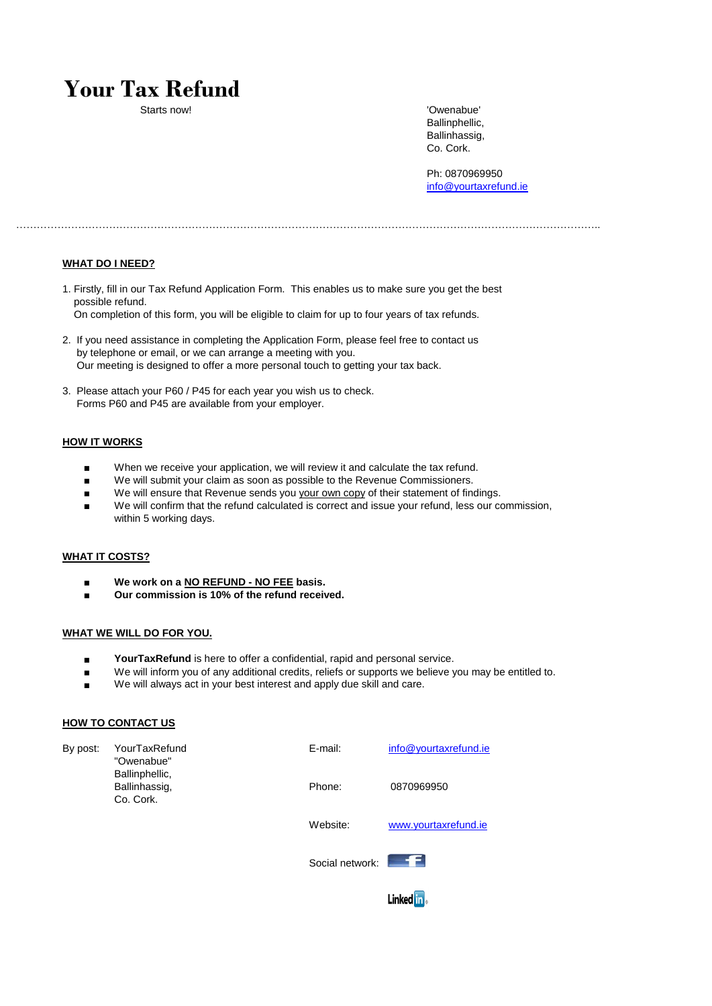# **Your Tax Refund**

Starts now! **Containers** of the starts of the starts of the starts of the starts of the starts of the starts of the starts of the starts of the starts of the starts of the starts of the starts of the starts of the starts o Ballinphellic, Ballinhassig, Co. Cork.

> Ph: 0870969950 [info@yourtaxrefund.ie](mailto:info@yourtaxrefund.ie)

……………………………………………………………………………………………………………………………………………………..

### **WHAT DO I NEED?**

1. Firstly, fill in our Tax Refund Application Form. This enables us to make sure you get the best possible refund.

On completion of this form, you will be eligible to claim for up to four years of tax refunds.

- 2. If you need assistance in completing the Application Form, please feel free to contact us by telephone or email, or we can arrange a meeting with you. Our meeting is designed to offer a more personal touch to getting your tax back.
- 3. Please attach your P60 / P45 for each year you wish us to check. Forms P60 and P45 are available from your employer.

## **HOW IT WORKS**

- When we receive your application, we will review it and calculate the tax refund.
- We will submit your claim as soon as possible to the Revenue Commissioners.
- We will ensure that Revenue sends you your own copy of their statement of findings.
- We will confirm that the refund calculated is correct and issue your refund, less our commission, within 5 working days.

### **WHAT IT COSTS?**

- We work on a **NO REFUND NO FEE** basis.
- **Our commission is 10% of the refund received.**

### **WHAT WE WILL DO FOR YOU.**

- **YourTaxRefund** is here to offer a confidential, rapid and personal service.
- We will inform you of any additional credits, reliefs or supports we believe you may be entitled to.
- We will always act in your best interest and apply due skill and care.

### **HOW TO CONTACT US**

| By post: | YourTaxRefund<br>"Owenabue"                  | E-mail:         | info@yourtaxrefund.ie |
|----------|----------------------------------------------|-----------------|-----------------------|
|          | Ballinphellic,<br>Ballinhassig,<br>Co. Cork. | Phone:          | 0870969950            |
|          |                                              | Website:        | www.yourtaxrefund.ie  |
|          |                                              | Social network: | $\blacksquare$        |

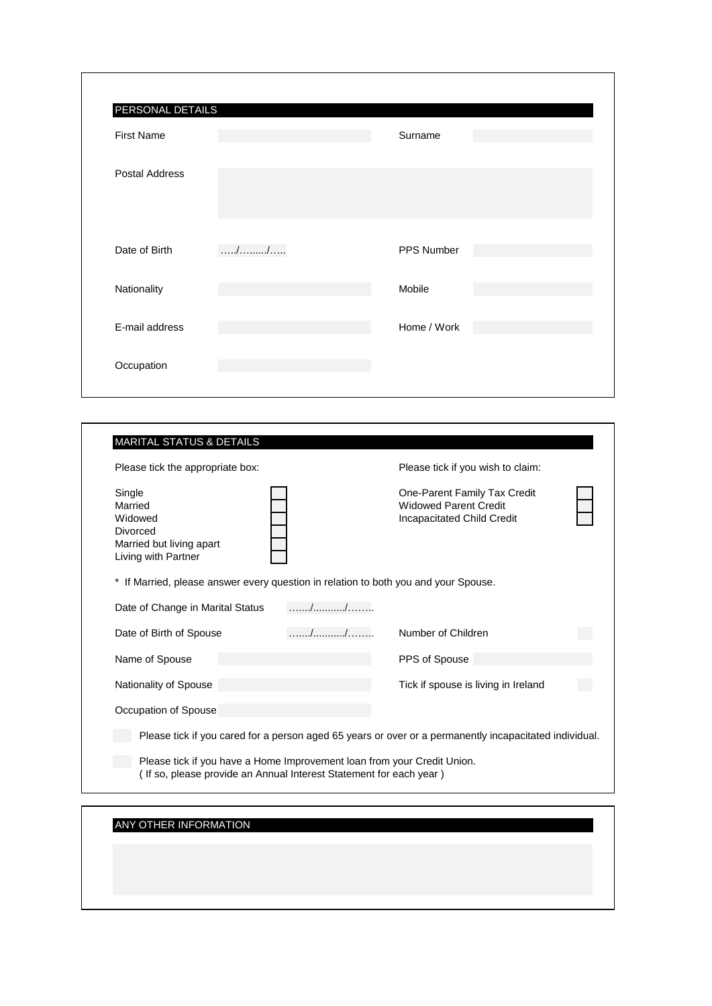| <b>First Name</b>     |    | Surname           |  |
|-----------------------|----|-------------------|--|
| <b>Postal Address</b> |    |                   |  |
|                       |    |                   |  |
| Date of Birth         | // | <b>PPS Number</b> |  |
| Nationality           |    | Mobile            |  |
| E-mail address        |    | Home / Work       |  |

| Please tick the appropriate box:                                                            |       | Please tick if you wish to claim:                                                          |  |  |  |
|---------------------------------------------------------------------------------------------|-------|--------------------------------------------------------------------------------------------|--|--|--|
| Single<br>Married<br>Widowed<br>Divorced<br>Married but living apart<br>Living with Partner |       | One-Parent Family Tax Credit<br><b>Widowed Parent Credit</b><br>Incapacitated Child Credit |  |  |  |
| If Married, please answer every question in relation to both you and your Spouse.           |       |                                                                                            |  |  |  |
| Date of Change in Marital Status                                                            | . / / |                                                                                            |  |  |  |
|                                                                                             |       |                                                                                            |  |  |  |
| Date of Birth of Spouse                                                                     |       | Number of Children                                                                         |  |  |  |
|                                                                                             |       | PPS of Spouse                                                                              |  |  |  |
| Name of Spouse<br>Nationality of Spouse                                                     |       | Tick if spouse is living in Ireland                                                        |  |  |  |
| Occupation of Spouse                                                                        |       |                                                                                            |  |  |  |

## ANY OTHER INFORMATION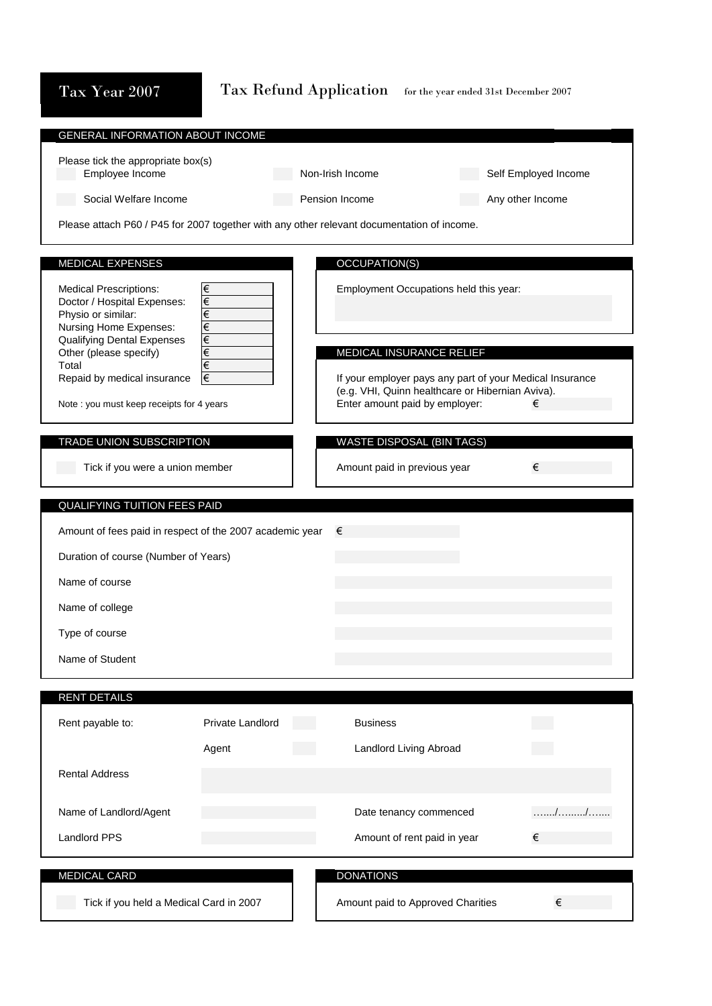# Tax Year 2007 Tax Refund Application for the year ended 31st December 2007

| GENERAL INFORMATION ABOUT INCOME                                                                                                                 |                   |                                                            |                                                  |                                                               |
|--------------------------------------------------------------------------------------------------------------------------------------------------|-------------------|------------------------------------------------------------|--------------------------------------------------|---------------------------------------------------------------|
| Please tick the appropriate box(s)<br>Employee Income                                                                                            |                   | Non-Irish Income                                           |                                                  | Self Employed Income                                          |
| Social Welfare Income                                                                                                                            | Pension Income    |                                                            | Any other Income                                 |                                                               |
| Please attach P60 / P45 for 2007 together with any other relevant documentation of income.                                                       |                   |                                                            |                                                  |                                                               |
| <b>MEDICAL EXPENSES</b>                                                                                                                          |                   | OCCUPATION(S)                                              |                                                  |                                                               |
| <b>Medical Prescriptions:</b><br>Doctor / Hospital Expenses:<br>Physio or similar:<br>Nursing Home Expenses:                                     | €<br>€<br>€<br>€  |                                                            | Employment Occupations held this year:           |                                                               |
| <b>Qualifying Dental Expenses</b><br>Other (please specify)<br>Total<br>Repaid by medical insurance<br>Note : you must keep receipts for 4 years | €<br>€<br>€<br>I€ | MEDICAL INSURANCE RELIEF<br>Enter amount paid by employer: | (e.g. VHI, Quinn healthcare or Hibernian Aviva). | If your employer pays any part of your Medical Insurance<br>€ |
| TRADE UNION SUBSCRIPTION                                                                                                                         |                   | WASTE DISPOSAL (BIN TAGS)                                  |                                                  |                                                               |
| Tick if you were a union member                                                                                                                  |                   | Amount paid in previous year                               |                                                  | €                                                             |
| QUALIFYING TUITION FEES PAID                                                                                                                     |                   |                                                            |                                                  |                                                               |
| Amount of fees paid in respect of the 2007 academic year                                                                                         |                   | €                                                          |                                                  |                                                               |
| Duration of course (Number of Years)                                                                                                             |                   |                                                            |                                                  |                                                               |
| Name of course                                                                                                                                   |                   |                                                            |                                                  |                                                               |
| Name of college                                                                                                                                  |                   |                                                            |                                                  |                                                               |
| Type of course                                                                                                                                   |                   |                                                            |                                                  |                                                               |
| Name of Student                                                                                                                                  |                   |                                                            |                                                  |                                                               |
|                                                                                                                                                  |                   |                                                            |                                                  |                                                               |
| <b>RENT DETAILS</b>                                                                                                                              |                   |                                                            |                                                  |                                                               |
| Rent payable to:                                                                                                                                 | Private Landlord  | <b>Business</b>                                            |                                                  |                                                               |
|                                                                                                                                                  | Agent             | Landlord Living Abroad                                     |                                                  |                                                               |
| <b>Rental Address</b>                                                                                                                            |                   |                                                            |                                                  |                                                               |
|                                                                                                                                                  |                   |                                                            |                                                  |                                                               |
| Name of Landlord/Agent                                                                                                                           |                   | Date tenancy commenced                                     |                                                  |                                                               |
| <b>Landlord PPS</b>                                                                                                                              |                   | Amount of rent paid in year                                |                                                  | €                                                             |
| MEDICAL CARD                                                                                                                                     |                   | <b>DONATIONS</b>                                           |                                                  |                                                               |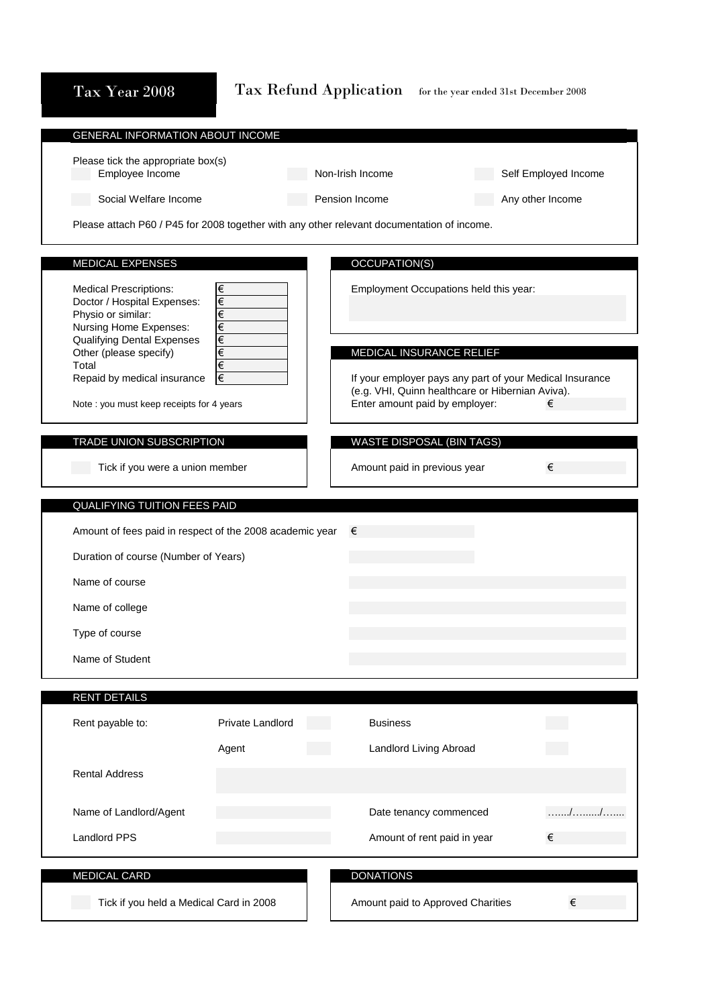| Tax Year 2008                                                                                                | <b>Tax Refund Application</b> |                                   | for the year ended 31st December 2008                                                                        |                      |
|--------------------------------------------------------------------------------------------------------------|-------------------------------|-----------------------------------|--------------------------------------------------------------------------------------------------------------|----------------------|
| GENERAL INFORMATION ABOUT INCOME                                                                             |                               |                                   |                                                                                                              |                      |
| Please tick the appropriate box(s)<br>Employee Income                                                        |                               | Non-Irish Income                  |                                                                                                              | Self Employed Income |
| Social Welfare Income                                                                                        |                               | Pension Income                    |                                                                                                              | Any other Income     |
| Please attach P60 / P45 for 2008 together with any other relevant documentation of income.                   |                               |                                   |                                                                                                              |                      |
|                                                                                                              |                               |                                   |                                                                                                              |                      |
| <b>MEDICAL EXPENSES</b>                                                                                      |                               | <b>OCCUPATION(S)</b>              |                                                                                                              |                      |
| <b>Medical Prescriptions:</b><br>Doctor / Hospital Expenses:<br>Physio or similar:<br>Nursing Home Expenses: | €<br>€<br>€<br>€              |                                   | Employment Occupations held this year:                                                                       |                      |
| <b>Qualifying Dental Expenses</b><br>Other (please specify)                                                  | €<br>€                        | MEDICAL INSURANCE RELIEF          |                                                                                                              |                      |
| Total                                                                                                        | €                             |                                   |                                                                                                              |                      |
| Repaid by medical insurance<br>Note : you must keep receipts for 4 years                                     | €                             | Enter amount paid by employer:    | If your employer pays any part of your Medical Insurance<br>(e.g. VHI, Quinn healthcare or Hibernian Aviva). | €                    |
| TRADE UNION SUBSCRIPTION                                                                                     |                               |                                   |                                                                                                              |                      |
|                                                                                                              |                               | WASTE DISPOSAL (BIN TAGS)         |                                                                                                              |                      |
| Tick if you were a union member                                                                              |                               | Amount paid in previous year      |                                                                                                              | €                    |
| QUALIFYING TUITION FEES PAID                                                                                 |                               |                                   |                                                                                                              |                      |
| Amount of fees paid in respect of the 2008 academic year                                                     |                               | €                                 |                                                                                                              |                      |
| Duration of course (Number of Years)                                                                         |                               |                                   |                                                                                                              |                      |
| Name of course                                                                                               |                               |                                   |                                                                                                              |                      |
| Name of college                                                                                              |                               |                                   |                                                                                                              |                      |
| Type of course                                                                                               |                               |                                   |                                                                                                              |                      |
| Name of Student                                                                                              |                               |                                   |                                                                                                              |                      |
|                                                                                                              |                               |                                   |                                                                                                              |                      |
| <b>RENT DETAILS</b>                                                                                          |                               |                                   |                                                                                                              |                      |
| Rent payable to:                                                                                             | Private Landlord              | <b>Business</b>                   |                                                                                                              |                      |
|                                                                                                              | Agent                         | <b>Landlord Living Abroad</b>     |                                                                                                              |                      |
| <b>Rental Address</b>                                                                                        |                               |                                   |                                                                                                              |                      |
|                                                                                                              |                               |                                   |                                                                                                              |                      |
| Name of Landlord/Agent                                                                                       |                               | Date tenancy commenced            |                                                                                                              |                      |
| <b>Landlord PPS</b>                                                                                          |                               | Amount of rent paid in year       |                                                                                                              | €                    |
| <b>MEDICAL CARD</b>                                                                                          |                               | <b>DONATIONS</b>                  |                                                                                                              |                      |
|                                                                                                              |                               |                                   |                                                                                                              |                      |
| Tick if you held a Medical Card in 2008                                                                      |                               | Amount paid to Approved Charities |                                                                                                              | €                    |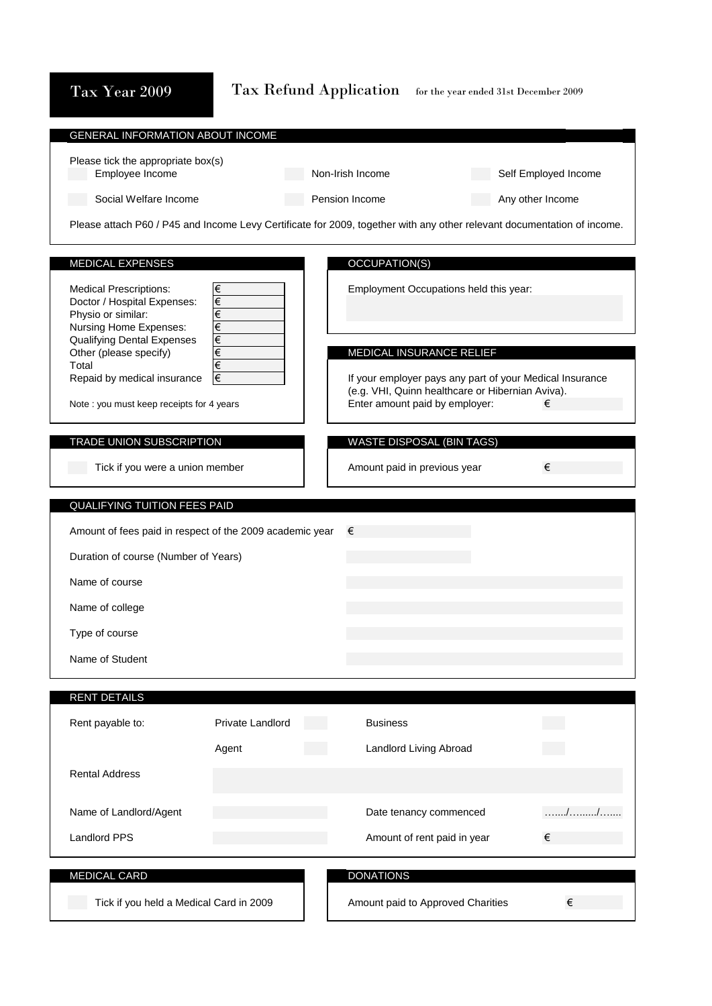## Tax Year 2009 Tax Refund Application for the year ended 31st December 2009

| <b>GENERAL INFORMATION ABOUT INCOME</b>                                                                      |                   |                                                                                                                         |                                                          |
|--------------------------------------------------------------------------------------------------------------|-------------------|-------------------------------------------------------------------------------------------------------------------------|----------------------------------------------------------|
| Please tick the appropriate box(s)<br>Employee Income                                                        |                   | Non-Irish Income                                                                                                        | Self Employed Income                                     |
| Social Welfare Income                                                                                        |                   | Pension Income                                                                                                          | Any other Income                                         |
|                                                                                                              |                   | Please attach P60 / P45 and Income Levy Certificate for 2009, together with any other relevant documentation of income. |                                                          |
| <b>MEDICAL EXPENSES</b>                                                                                      |                   | OCCUPATION(S)                                                                                                           |                                                          |
| <b>Medical Prescriptions:</b><br>Doctor / Hospital Expenses:<br>Physio or similar:<br>Nursing Home Expenses: | I€<br>€<br>€<br>€ | Employment Occupations held this year:                                                                                  |                                                          |
| <b>Qualifying Dental Expenses</b><br>Other (please specify)                                                  | €<br>€            | MEDICAL INSURANCE RELIEF                                                                                                |                                                          |
| Total<br>Repaid by medical insurance                                                                         | €<br>Ι€           |                                                                                                                         | If your employer pays any part of your Medical Insurance |
| Note : you must keep receipts for 4 years                                                                    |                   | (e.g. VHI, Quinn healthcare or Hibernian Aviva).<br>Enter amount paid by employer:                                      | €                                                        |
| TRADE UNION SUBSCRIPTION                                                                                     |                   | WASTE DISPOSAL (BIN TAGS)                                                                                               |                                                          |
| Tick if you were a union member                                                                              |                   | Amount paid in previous year                                                                                            | €                                                        |
|                                                                                                              |                   |                                                                                                                         |                                                          |
| QUALIFYING TUITION FEES PAID                                                                                 |                   |                                                                                                                         |                                                          |
| Amount of fees paid in respect of the 2009 academic year                                                     |                   | €                                                                                                                       |                                                          |
| Duration of course (Number of Years)                                                                         |                   |                                                                                                                         |                                                          |
| Name of course                                                                                               |                   |                                                                                                                         |                                                          |
| Name of college                                                                                              |                   |                                                                                                                         |                                                          |
| Type of course                                                                                               |                   |                                                                                                                         |                                                          |
| Name of Student                                                                                              |                   |                                                                                                                         |                                                          |
| <b>RENT DETAILS</b>                                                                                          |                   |                                                                                                                         |                                                          |
| Rent payable to:                                                                                             | Private Landlord  | <b>Business</b>                                                                                                         |                                                          |
|                                                                                                              | Agent             | <b>Landlord Living Abroad</b>                                                                                           |                                                          |
| <b>Rental Address</b>                                                                                        |                   |                                                                                                                         |                                                          |
|                                                                                                              |                   |                                                                                                                         |                                                          |
| Name of Landlord/Agent                                                                                       |                   | Date tenancy commenced                                                                                                  | . / /                                                    |
| <b>Landlord PPS</b>                                                                                          |                   | Amount of rent paid in year                                                                                             | €                                                        |
| <b>MEDICAL CARD</b>                                                                                          |                   | <b>DONATIONS</b>                                                                                                        |                                                          |
| Tick if you held a Medical Card in 2009                                                                      |                   | Amount paid to Approved Charities                                                                                       | €                                                        |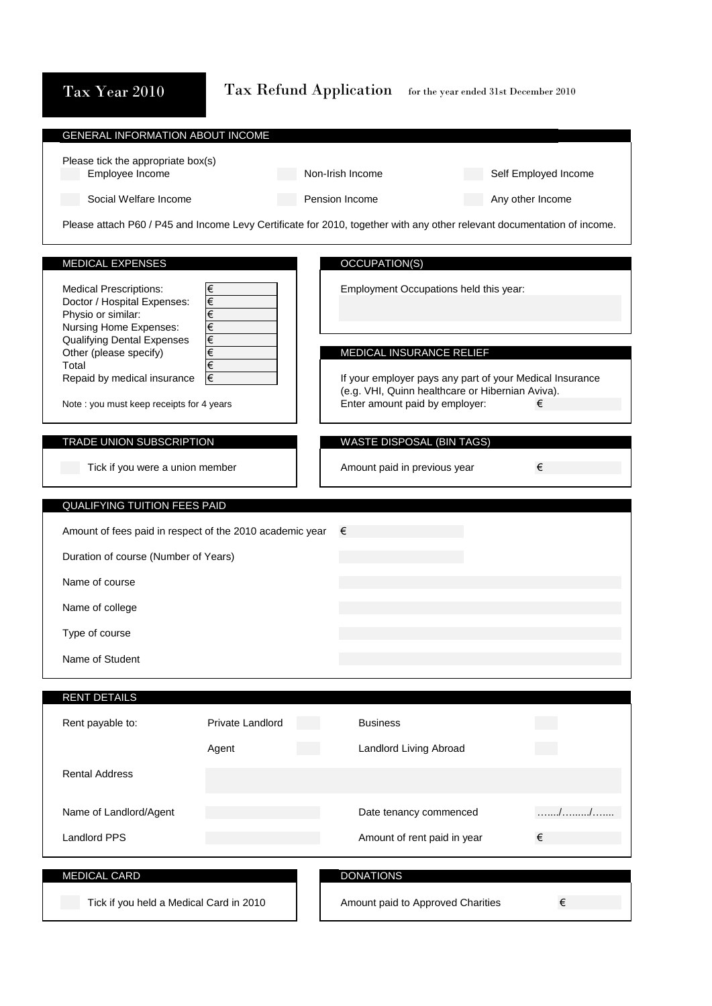## Tax Year 2010 Tax Refund Application for the year ended 31st December 2010

| GENERAL INFORMATION ABOUT INCOME                                                                                        |                         |  |                                                                                    |  |                                                          |  |  |
|-------------------------------------------------------------------------------------------------------------------------|-------------------------|--|------------------------------------------------------------------------------------|--|----------------------------------------------------------|--|--|
| Please tick the appropriate box(s)<br>Employee Income                                                                   |                         |  | Non-Irish Income                                                                   |  | Self Employed Income                                     |  |  |
| Social Welfare Income                                                                                                   |                         |  | Pension Income                                                                     |  | Any other Income                                         |  |  |
| Please attach P60 / P45 and Income Levy Certificate for 2010, together with any other relevant documentation of income. |                         |  |                                                                                    |  |                                                          |  |  |
|                                                                                                                         |                         |  |                                                                                    |  |                                                          |  |  |
| <b>MEDICAL EXPENSES</b>                                                                                                 |                         |  | OCCUPATION(S)                                                                      |  |                                                          |  |  |
| <b>Medical Prescriptions:</b><br>Doctor / Hospital Expenses:<br>Physio or similar:<br>Nursing Home Expenses:            | €<br>€<br>€<br>€        |  | Employment Occupations held this year:                                             |  |                                                          |  |  |
| <b>Qualifying Dental Expenses</b><br>Other (please specify)                                                             | €<br>€                  |  | MEDICAL INSURANCE RELIEF                                                           |  |                                                          |  |  |
| Total<br>Repaid by medical insurance                                                                                    | €<br>€                  |  |                                                                                    |  | If your employer pays any part of your Medical Insurance |  |  |
| Note : you must keep receipts for 4 years                                                                               |                         |  | (e.g. VHI, Quinn healthcare or Hibernian Aviva).<br>Enter amount paid by employer: |  | €                                                        |  |  |
|                                                                                                                         |                         |  |                                                                                    |  |                                                          |  |  |
| TRADE UNION SUBSCRIPTION                                                                                                |                         |  | WASTE DISPOSAL (BIN TAGS)                                                          |  |                                                          |  |  |
| Tick if you were a union member                                                                                         |                         |  | Amount paid in previous year                                                       |  | €                                                        |  |  |
| QUALIFYING TUITION FEES PAID                                                                                            |                         |  |                                                                                    |  |                                                          |  |  |
| Amount of fees paid in respect of the 2010 academic year                                                                |                         |  | €                                                                                  |  |                                                          |  |  |
| Duration of course (Number of Years)                                                                                    |                         |  |                                                                                    |  |                                                          |  |  |
| Name of course                                                                                                          |                         |  |                                                                                    |  |                                                          |  |  |
| Name of college                                                                                                         |                         |  |                                                                                    |  |                                                          |  |  |
| Type of course                                                                                                          |                         |  |                                                                                    |  |                                                          |  |  |
| Name of Student                                                                                                         |                         |  |                                                                                    |  |                                                          |  |  |
|                                                                                                                         |                         |  |                                                                                    |  |                                                          |  |  |
| <b>RENT DETAILS</b><br>Rent payable to:                                                                                 | <b>Private Landlord</b> |  | <b>Business</b>                                                                    |  |                                                          |  |  |
|                                                                                                                         |                         |  |                                                                                    |  |                                                          |  |  |
|                                                                                                                         | Agent                   |  | <b>Landlord Living Abroad</b>                                                      |  |                                                          |  |  |
| <b>Rental Address</b>                                                                                                   |                         |  |                                                                                    |  |                                                          |  |  |
| Name of Landlord/Agent                                                                                                  |                         |  | Date tenancy commenced                                                             |  | . / /                                                    |  |  |
| <b>Landlord PPS</b>                                                                                                     |                         |  | Amount of rent paid in year                                                        |  | €                                                        |  |  |
|                                                                                                                         |                         |  |                                                                                    |  |                                                          |  |  |
| <b>MEDICAL CARD</b>                                                                                                     |                         |  | <b>DONATIONS</b>                                                                   |  |                                                          |  |  |
| Tick if you held a Medical Card in 2010                                                                                 |                         |  | Amount paid to Approved Charities                                                  |  | €                                                        |  |  |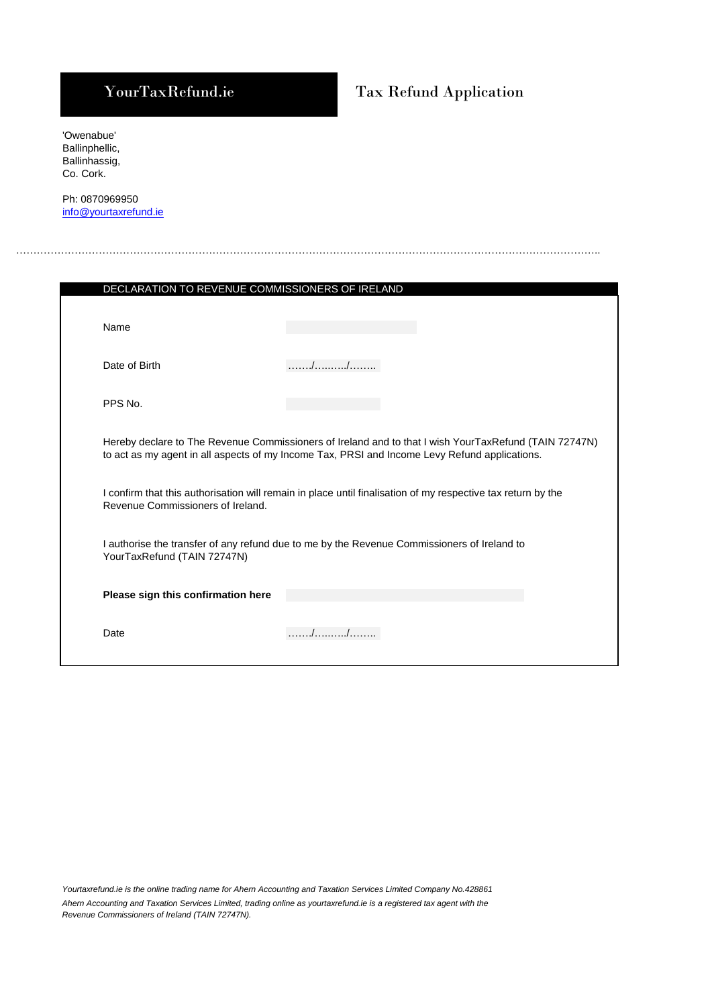## YourTaxRefund.ie Tax Refund Application

'Owenabue' Ballinphellic, Ballinhassig, Co. Cork.

Ph: 0870969950 [info@yourtaxrefund.ie](mailto:info@yourtaxrefund.ie)

| DECLARATION TO REVENUE COMMISSIONERS OF IRELAND |                                                                                                                                                                                                                                                                                                                     |
|-------------------------------------------------|---------------------------------------------------------------------------------------------------------------------------------------------------------------------------------------------------------------------------------------------------------------------------------------------------------------------|
|                                                 |                                                                                                                                                                                                                                                                                                                     |
| Name                                            |                                                                                                                                                                                                                                                                                                                     |
| Date of Birth                                   | $\frac{1}{2}$ $\frac{1}{2}$ $\frac{1}{2}$ $\frac{1}{2}$ $\frac{1}{2}$ $\frac{1}{2}$ $\frac{1}{2}$ $\frac{1}{2}$ $\frac{1}{2}$ $\frac{1}{2}$ $\frac{1}{2}$ $\frac{1}{2}$ $\frac{1}{2}$ $\frac{1}{2}$ $\frac{1}{2}$ $\frac{1}{2}$ $\frac{1}{2}$ $\frac{1}{2}$ $\frac{1}{2}$ $\frac{1}{2}$ $\frac{1}{2}$ $\frac{1}{2}$ |
| PPS No.                                         |                                                                                                                                                                                                                                                                                                                     |
|                                                 | Hereby declare to The Revenue Commissioners of Ireland and to that I wish YourTaxRefund (TAIN 72747N)<br>to act as my agent in all aspects of my Income Tax, PRSI and Income Levy Refund applications.                                                                                                              |
| Revenue Commissioners of Ireland.               | I confirm that this authorisation will remain in place until finalisation of my respective tax return by the                                                                                                                                                                                                        |
| YourTaxRefund (TAIN 72747N)                     | I authorise the transfer of any refund due to me by the Revenue Commissioners of Ireland to                                                                                                                                                                                                                         |
| Please sign this confirmation here              |                                                                                                                                                                                                                                                                                                                     |
| Date                                            | . / /                                                                                                                                                                                                                                                                                                               |

……………………………………………………………………………………………………………………………………………………..

*Yourtaxrefund.ie is the online trading name for Ahern Accounting and Taxation Services Limited Company No.428861 Ahern Accounting and Taxation Services Limited, trading online as yourtaxrefund.ie is a registered tax agent with the Revenue Commissioners of Ireland (TAIN 72747N).*